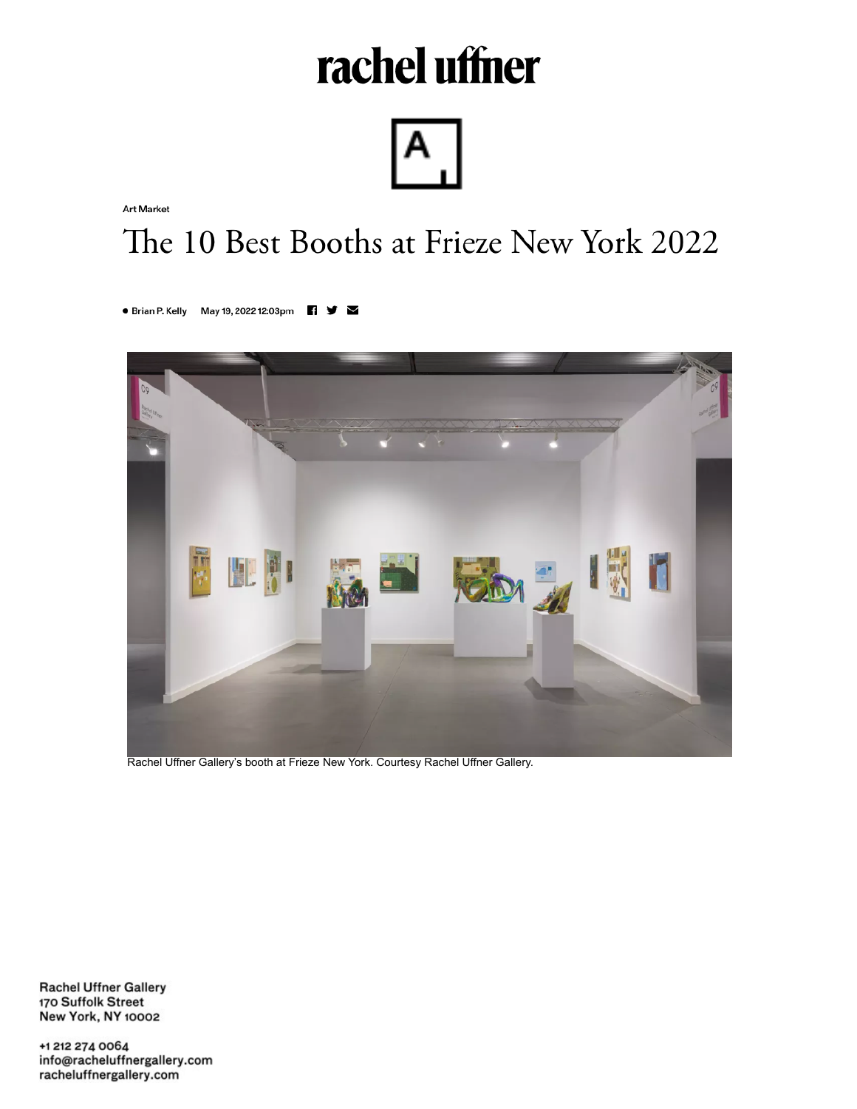## rachel uffner



**Art Market** 

## The 10 Best Booths at Frieze New York 2022

● Brian P. Kelly May 19, 2022 12:03pm  $f \nabla$ 



Rachel Uffner Gallery's booth at Frieze New York. Courtesy Rachel Uffner Gallery.

**Rachel Uffner Gallery** 170 Suffolk Street **New York, NY 10002** 

+1 212 274 0064 info@racheluffnergallery.com racheluffnergallery.com